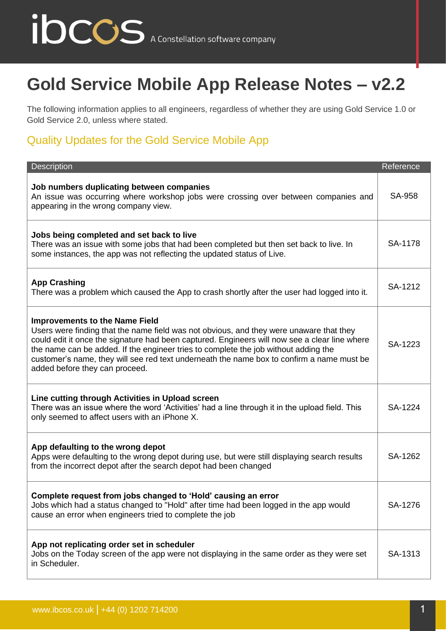## ibccos A Constellation software company

## **Gold Service Mobile App Release Notes – v2.2**

The following information applies to all engineers, regardless of whether they are using Gold Service 1.0 or Gold Service 2.0, unless where stated.

## Quality Updates for the Gold Service Mobile App

| Description                                                                                                                                                                                                                                                                                                                                                                                                                                             | Reference     |
|---------------------------------------------------------------------------------------------------------------------------------------------------------------------------------------------------------------------------------------------------------------------------------------------------------------------------------------------------------------------------------------------------------------------------------------------------------|---------------|
| Job numbers duplicating between companies<br>An issue was occurring where workshop jobs were crossing over between companies and<br>appearing in the wrong company view.                                                                                                                                                                                                                                                                                | <b>SA-958</b> |
| Jobs being completed and set back to live<br>There was an issue with some jobs that had been completed but then set back to live. In<br>some instances, the app was not reflecting the updated status of Live.                                                                                                                                                                                                                                          | SA-1178       |
| <b>App Crashing</b><br>There was a problem which caused the App to crash shortly after the user had logged into it.                                                                                                                                                                                                                                                                                                                                     | SA-1212       |
| <b>Improvements to the Name Field</b><br>Users were finding that the name field was not obvious, and they were unaware that they<br>could edit it once the signature had been captured. Engineers will now see a clear line where<br>the name can be added. If the engineer tries to complete the job without adding the<br>customer's name, they will see red text underneath the name box to confirm a name must be<br>added before they can proceed. | SA-1223       |
| Line cutting through Activities in Upload screen<br>There was an issue where the word 'Activities' had a line through it in the upload field. This<br>only seemed to affect users with an iPhone X.                                                                                                                                                                                                                                                     | SA-1224       |
| App defaulting to the wrong depot<br>Apps were defaulting to the wrong depot during use, but were still displaying search results<br>from the incorrect depot after the search depot had been changed                                                                                                                                                                                                                                                   | SA-1262       |
| Complete request from jobs changed to 'Hold' causing an error<br>Jobs which had a status changed to "Hold" after time had been logged in the app would<br>cause an error when engineers tried to complete the job                                                                                                                                                                                                                                       | SA-1276       |
| App not replicating order set in scheduler<br>Jobs on the Today screen of the app were not displaying in the same order as they were set<br>in Scheduler.                                                                                                                                                                                                                                                                                               | SA-1313       |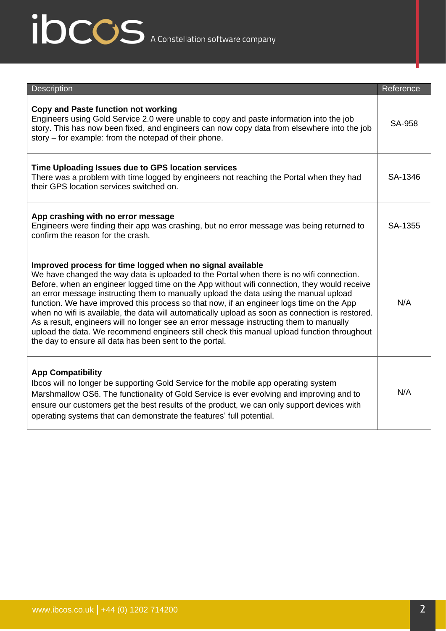## ibccos A Constellation software company

| <b>Description</b>                                                                                                                                                                                                                                                                                                                                                                                                                                                                                                                                                                                                                                                                                                                                                                                | Reference     |
|---------------------------------------------------------------------------------------------------------------------------------------------------------------------------------------------------------------------------------------------------------------------------------------------------------------------------------------------------------------------------------------------------------------------------------------------------------------------------------------------------------------------------------------------------------------------------------------------------------------------------------------------------------------------------------------------------------------------------------------------------------------------------------------------------|---------------|
| Copy and Paste function not working<br>Engineers using Gold Service 2.0 were unable to copy and paste information into the job<br>story. This has now been fixed, and engineers can now copy data from elsewhere into the job<br>story – for example: from the notepad of their phone.                                                                                                                                                                                                                                                                                                                                                                                                                                                                                                            | <b>SA-958</b> |
| Time Uploading Issues due to GPS location services<br>There was a problem with time logged by engineers not reaching the Portal when they had<br>their GPS location services switched on.                                                                                                                                                                                                                                                                                                                                                                                                                                                                                                                                                                                                         | SA-1346       |
| App crashing with no error message<br>Engineers were finding their app was crashing, but no error message was being returned to<br>confirm the reason for the crash.                                                                                                                                                                                                                                                                                                                                                                                                                                                                                                                                                                                                                              | SA-1355       |
| Improved process for time logged when no signal available<br>We have changed the way data is uploaded to the Portal when there is no wifi connection.<br>Before, when an engineer logged time on the App without wifi connection, they would receive<br>an error message instructing them to manually upload the data using the manual upload<br>function. We have improved this process so that now, if an engineer logs time on the App<br>when no wifi is available, the data will automatically upload as soon as connection is restored.<br>As a result, engineers will no longer see an error message instructing them to manually<br>upload the data. We recommend engineers still check this manual upload function throughout<br>the day to ensure all data has been sent to the portal. | N/A           |
| <b>App Compatibility</b><br>Ibcos will no longer be supporting Gold Service for the mobile app operating system<br>Marshmallow OS6. The functionality of Gold Service is ever evolving and improving and to<br>ensure our customers get the best results of the product, we can only support devices with<br>operating systems that can demonstrate the features' full potential.                                                                                                                                                                                                                                                                                                                                                                                                                 | N/A           |